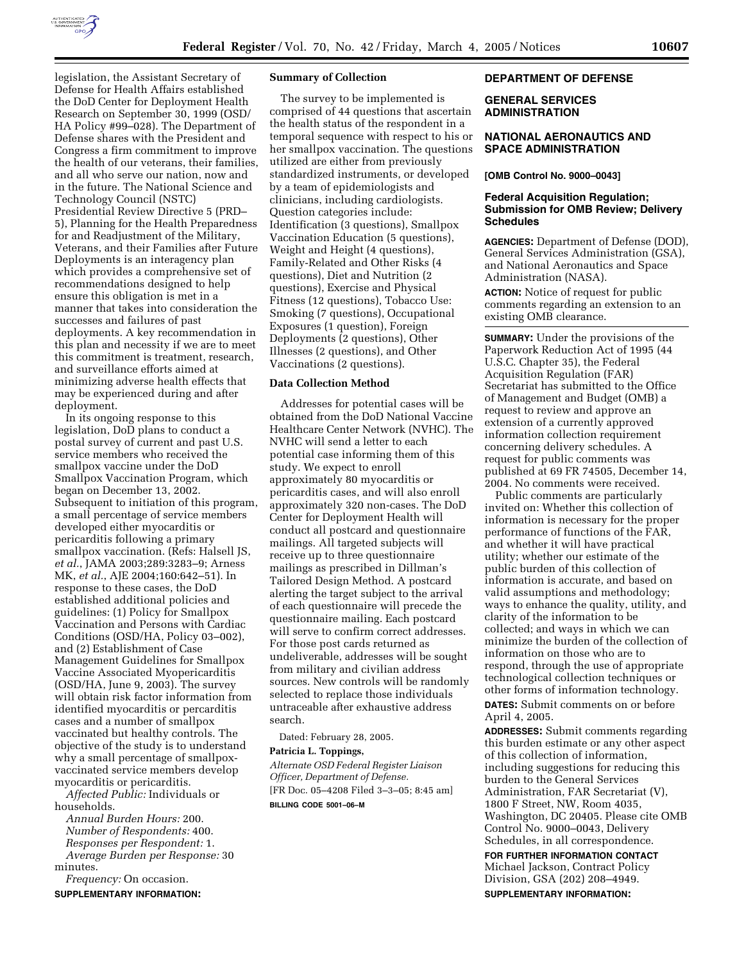

legislation, the Assistant Secretary of Defense for Health Affairs established the DoD Center for Deployment Health Research on September 30, 1999 (OSD/ HA Policy #99–028). The Department of Defense shares with the President and Congress a firm commitment to improve the health of our veterans, their families, and all who serve our nation, now and in the future. The National Science and Technology Council (NSTC) Presidential Review Directive 5 (PRD– 5), Planning for the Health Preparedness for and Readjustment of the Military, Veterans, and their Families after Future Deployments is an interagency plan which provides a comprehensive set of recommendations designed to help ensure this obligation is met in a manner that takes into consideration the successes and failures of past deployments. A key recommendation in this plan and necessity if we are to meet this commitment is treatment, research, and surveillance efforts aimed at minimizing adverse health effects that may be experienced during and after deployment.

In its ongoing response to this legislation, DoD plans to conduct a postal survey of current and past U.S. service members who received the smallpox vaccine under the DoD Smallpox Vaccination Program, which began on December 13, 2002. Subsequent to initiation of this program, a small percentage of service members developed either myocarditis or pericarditis following a primary smallpox vaccination. (Refs: Halsell JS, *et al.*, JAMA 2003;289:3283–9; Arness MK, *et al.*, AJE 2004;160:642–51). In response to these cases, the DoD established additional policies and guidelines: (1) Policy for Smallpox Vaccination and Persons with Cardiac Conditions (OSD/HA, Policy 03–002), and (2) Establishment of Case Management Guidelines for Smallpox Vaccine Associated Myopericarditis (OSD/HA, June 9, 2003). The survey will obtain risk factor information from identified myocarditis or percarditis cases and a number of smallpox vaccinated but healthy controls. The objective of the study is to understand why a small percentage of smallpoxvaccinated service members develop myocarditis or pericarditis.

*Affected Public:* Individuals or households.

*Annual Burden Hours:* 200. *Number of Respondents:* 400. *Responses per Respondent:* 1. *Average Burden per Response:* 30 minutes.

*Frequency:* On occasion. **SUPPLEMENTARY INFORMATION:** 

#### **Summary of Collection**

The survey to be implemented is comprised of 44 questions that ascertain the health status of the respondent in a temporal sequence with respect to his or her smallpox vaccination. The questions utilized are either from previously standardized instruments, or developed by a team of epidemiologists and clinicians, including cardiologists. Question categories include: Identification (3 questions), Smallpox Vaccination Education (5 questions), Weight and Height (4 questions), Family-Related and Other Risks (4 questions), Diet and Nutrition (2 questions), Exercise and Physical Fitness (12 questions), Tobacco Use: Smoking (7 questions), Occupational Exposures (1 question), Foreign Deployments (2 questions), Other Illnesses (2 questions), and Other Vaccinations (2 questions).

#### **Data Collection Method**

Addresses for potential cases will be obtained from the DoD National Vaccine Healthcare Center Network (NVHC). The NVHC will send a letter to each potential case informing them of this study. We expect to enroll approximately 80 myocarditis or pericarditis cases, and will also enroll approximately 320 non-cases. The DoD Center for Deployment Health will conduct all postcard and questionnaire mailings. All targeted subjects will receive up to three questionnaire mailings as prescribed in Dillman's Tailored Design Method. A postcard alerting the target subject to the arrival of each questionnaire will precede the questionnaire mailing. Each postcard will serve to confirm correct addresses. For those post cards returned as undeliverable, addresses will be sought from military and civilian address sources. New controls will be randomly selected to replace those individuals untraceable after exhaustive address search.

Dated: February 28, 2005.

## **Patricia L. Toppings,**

*Alternate OSD Federal Register Liaison Officer, Department of Defense.* [FR Doc. 05–4208 Filed 3–3–05; 8:45 am] **BILLING CODE 5001–06–M**

### **DEPARTMENT OF DEFENSE**

#### **GENERAL SERVICES ADMINISTRATION**

#### **NATIONAL AERONAUTICS AND SPACE ADMINISTRATION**

#### **[OMB Control No. 9000–0043]**

### **Federal Acquisition Regulation; Submission for OMB Review; Delivery Schedules**

**AGENCIES:** Department of Defense (DOD), General Services Administration (GSA), and National Aeronautics and Space Administration (NASA).

**ACTION:** Notice of request for public comments regarding an extension to an existing OMB clearance.

**SUMMARY:** Under the provisions of the Paperwork Reduction Act of 1995 (44 U.S.C. Chapter 35), the Federal Acquisition Regulation (FAR) Secretariat has submitted to the Office of Management and Budget (OMB) a request to review and approve an extension of a currently approved information collection requirement concerning delivery schedules. A request for public comments was published at 69 FR 74505, December 14, 2004. No comments were received.

Public comments are particularly invited on: Whether this collection of information is necessary for the proper performance of functions of the FAR, and whether it will have practical utility; whether our estimate of the public burden of this collection of information is accurate, and based on valid assumptions and methodology; ways to enhance the quality, utility, and clarity of the information to be collected; and ways in which we can minimize the burden of the collection of information on those who are to respond, through the use of appropriate technological collection techniques or other forms of information technology. **DATES:** Submit comments on or before April 4, 2005.

**ADDRESSES:** Submit comments regarding this burden estimate or any other aspect of this collection of information, including suggestions for reducing this burden to the General Services Administration, FAR Secretariat (V), 1800 F Street, NW, Room 4035, Washington, DC 20405. Please cite OMB Control No. 9000–0043, Delivery Schedules, in all correspondence.

# **FOR FURTHER INFORMATION CONTACT**

Michael Jackson, Contract Policy Division, GSA (202) 208–4949. **SUPPLEMENTARY INFORMATION:**